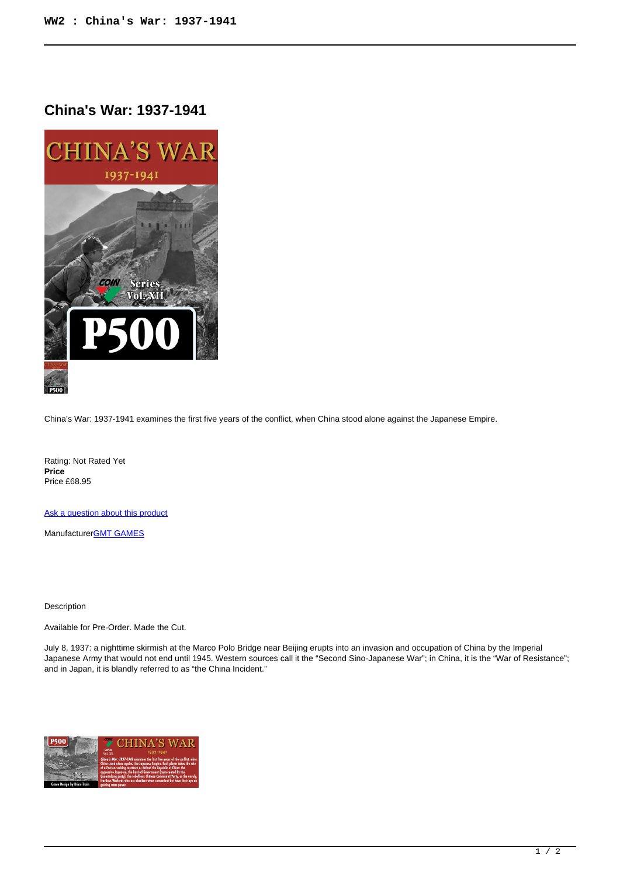## **China's War: 1937-1941**



China's War: 1937-1941 examines the first five years of the conflict, when China stood alone against the Japanese Empire.

Rating: Not Rated Yet **Price**  Price £68.95

[Ask a question about this product](https://www.secondchancegames.com/index.php?option=com_virtuemart&view=productdetails&task=askquestion&virtuemart_product_id=12596&virtuemart_category_id=5&tmpl=component)

Manufacturer[GMT GAMES](https://www.secondchancegames.com/index.php?option=com_virtuemart&view=manufacturer&virtuemart_manufacturer_id=2519&tmpl=component)

## Description

Available for Pre-Order. Made the Cut.

July 8, 1937: a nighttime skirmish at the Marco Polo Bridge near Beijing erupts into an invasion and occupation of China by the Imperial Japanese Army that would not end until 1945. Western sources call it the "Second Sino-Japanese War"; in China, it is the "War of Resistance"; and in Japan, it is blandly referred to as "the China Incident."